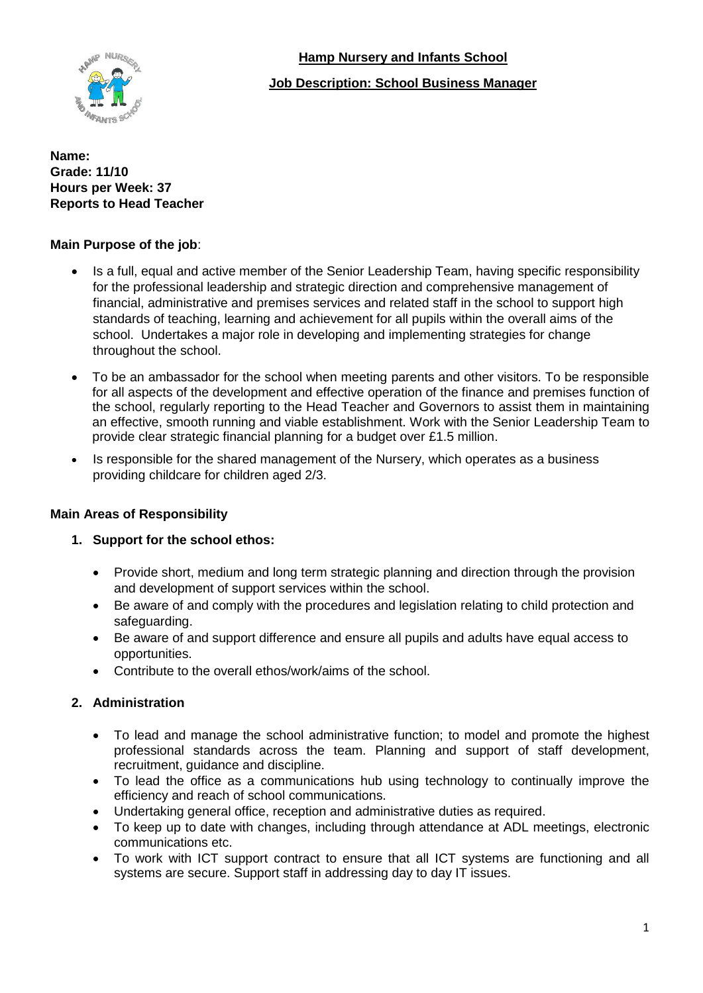

## **Hamp Nursery and Infants School**

### **Job Description: School Business Manager**

#### **Name: Grade: 11/10 Hours per Week: 37 Reports to Head Teacher**

### **Main Purpose of the job**:

- Is a full, equal and active member of the Senior Leadership Team, having specific responsibility for the professional leadership and strategic direction and comprehensive management of financial, administrative and premises services and related staff in the school to support high standards of teaching, learning and achievement for all pupils within the overall aims of the school. Undertakes a major role in developing and implementing strategies for change throughout the school.
- To be an ambassador for the school when meeting parents and other visitors. To be responsible for all aspects of the development and effective operation of the finance and premises function of the school, regularly reporting to the Head Teacher and Governors to assist them in maintaining an effective, smooth running and viable establishment. Work with the Senior Leadership Team to provide clear strategic financial planning for a budget over £1.5 million.
- Is responsible for the shared management of the Nursery, which operates as a business providing childcare for children aged 2/3.

#### **Main Areas of Responsibility**

## **1. Support for the school ethos:**

- Provide short, medium and long term strategic planning and direction through the provision and development of support services within the school.
- Be aware of and comply with the procedures and legislation relating to child protection and safeguarding.
- Be aware of and support difference and ensure all pupils and adults have equal access to opportunities.
- Contribute to the overall ethos/work/aims of the school.

## **2. Administration**

- To lead and manage the school administrative function; to model and promote the highest professional standards across the team. Planning and support of staff development, recruitment, guidance and discipline.
- To lead the office as a communications hub using technology to continually improve the efficiency and reach of school communications.
- Undertaking general office, reception and administrative duties as required.
- To keep up to date with changes, including through attendance at ADL meetings, electronic communications etc.
- To work with ICT support contract to ensure that all ICT systems are functioning and all systems are secure. Support staff in addressing day to day IT issues.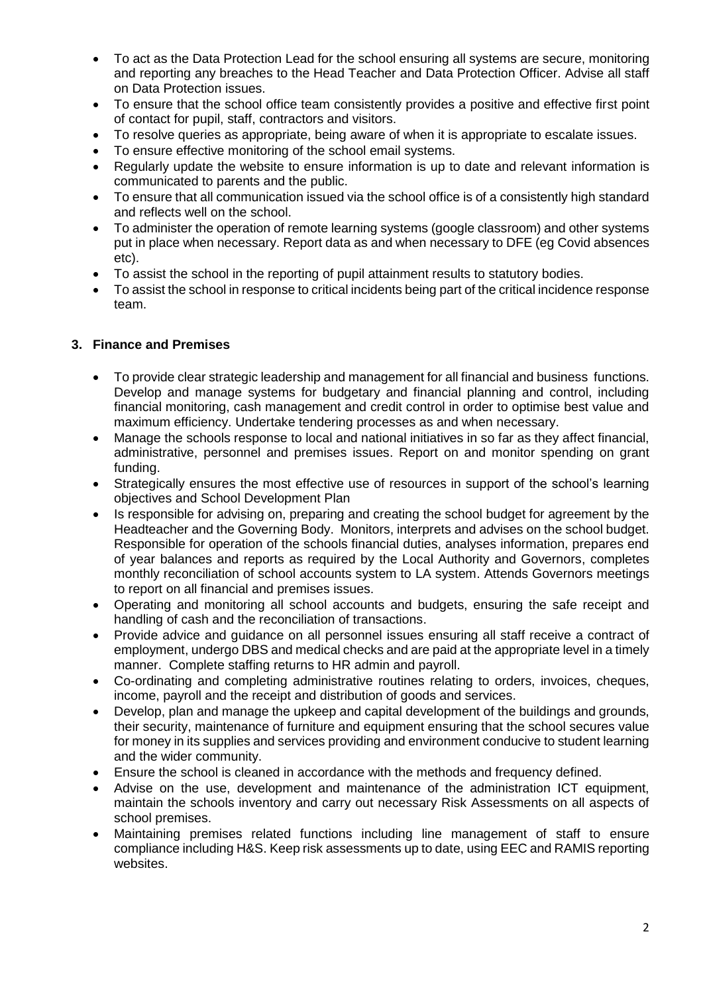- To act as the Data Protection Lead for the school ensuring all systems are secure, monitoring and reporting any breaches to the Head Teacher and Data Protection Officer. Advise all staff on Data Protection issues.
- To ensure that the school office team consistently provides a positive and effective first point of contact for pupil, staff, contractors and visitors.
- To resolve queries as appropriate, being aware of when it is appropriate to escalate issues.
- To ensure effective monitoring of the school email systems.
- Regularly update the website to ensure information is up to date and relevant information is communicated to parents and the public.
- To ensure that all communication issued via the school office is of a consistently high standard and reflects well on the school.
- To administer the operation of remote learning systems (google classroom) and other systems put in place when necessary. Report data as and when necessary to DFE (eg Covid absences etc).
- To assist the school in the reporting of pupil attainment results to statutory bodies.
- To assist the school in response to critical incidents being part of the critical incidence response team.

#### **3. Finance and Premises**

- To provide clear strategic leadership and management for all financial and business functions. Develop and manage systems for budgetary and financial planning and control, including financial monitoring, cash management and credit control in order to optimise best value and maximum efficiency. Undertake tendering processes as and when necessary.
- Manage the schools response to local and national initiatives in so far as they affect financial, administrative, personnel and premises issues. Report on and monitor spending on grant funding.
- Strategically ensures the most effective use of resources in support of the school's learning objectives and School Development Plan
- Is responsible for advising on, preparing and creating the school budget for agreement by the Headteacher and the Governing Body. Monitors, interprets and advises on the school budget. Responsible for operation of the schools financial duties, analyses information, prepares end of year balances and reports as required by the Local Authority and Governors, completes monthly reconciliation of school accounts system to LA system. Attends Governors meetings to report on all financial and premises issues.
- Operating and monitoring all school accounts and budgets, ensuring the safe receipt and handling of cash and the reconciliation of transactions.
- Provide advice and guidance on all personnel issues ensuring all staff receive a contract of employment, undergo DBS and medical checks and are paid at the appropriate level in a timely manner. Complete staffing returns to HR admin and payroll.
- Co-ordinating and completing administrative routines relating to orders, invoices, cheques, income, payroll and the receipt and distribution of goods and services.
- Develop, plan and manage the upkeep and capital development of the buildings and grounds, their security, maintenance of furniture and equipment ensuring that the school secures value for money in its supplies and services providing and environment conducive to student learning and the wider community.
- Ensure the school is cleaned in accordance with the methods and frequency defined.
- Advise on the use, development and maintenance of the administration ICT equipment, maintain the schools inventory and carry out necessary Risk Assessments on all aspects of school premises.
- Maintaining premises related functions including line management of staff to ensure compliance including H&S. Keep risk assessments up to date, using EEC and RAMIS reporting websites.